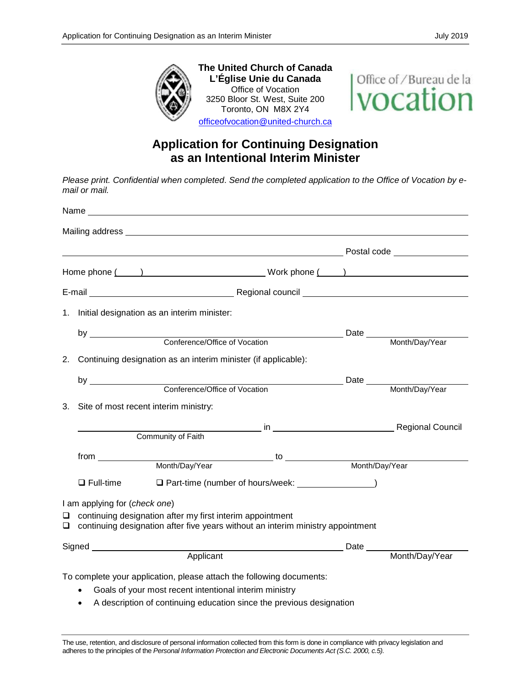

**The United Church of Canada L'Église Unie du Canada** Office of Vocation 3250 Bloor St. West, Suite 200 Toronto, ON M8X 2Y4 [officeofvocation@united-church.ca](mailto:officeofvocation@united-church.ca)

Office of / Bureau de la vocation

## **Application for Continuing Designation as an Intentional Interim Minister**

*Please print. Confidential when completed*. *Send the completed application to the Office of Vocation by email or mail.* 

|                                          | Home phone ( ) Nork phone ( ) Nork phone ( )                                                                                                                                                                                         |                                                                                                                |  |
|------------------------------------------|--------------------------------------------------------------------------------------------------------------------------------------------------------------------------------------------------------------------------------------|----------------------------------------------------------------------------------------------------------------|--|
|                                          |                                                                                                                                                                                                                                      |                                                                                                                |  |
|                                          | 1. Initial designation as an interim minister:                                                                                                                                                                                       |                                                                                                                |  |
|                                          |                                                                                                                                                                                                                                      |                                                                                                                |  |
|                                          |                                                                                                                                                                                                                                      |                                                                                                                |  |
|                                          | 2. Continuing designation as an interim minister (if applicable):                                                                                                                                                                    |                                                                                                                |  |
|                                          |                                                                                                                                                                                                                                      |                                                                                                                |  |
|                                          |                                                                                                                                                                                                                                      |                                                                                                                |  |
| 3. Site of most recent interim ministry: |                                                                                                                                                                                                                                      |                                                                                                                |  |
|                                          |                                                                                                                                                                                                                                      | and a series of the series of the series of the series of the series of the series of the series of the series |  |
|                                          | Community of Faith                                                                                                                                                                                                                   |                                                                                                                |  |
|                                          | from <u>second the contract of the contract of the contract of the contract of the contract of the contract of the contract of the contract of the contract of the contract of the contract of the contract of the contract of t</u> |                                                                                                                |  |
|                                          |                                                                                                                                                                                                                                      |                                                                                                                |  |
| $\Box$ Full-time                         | □ Part-time (number of hours/week: <u>□ □ □ □ □ □ □ □ □</u> □                                                                                                                                                                        |                                                                                                                |  |
| I am applying for (check one)            |                                                                                                                                                                                                                                      |                                                                                                                |  |
| ◻<br>$\Box$                              | continuing designation after my first interim appointment<br>continuing designation after five years without an interim ministry appointment                                                                                         |                                                                                                                |  |
|                                          |                                                                                                                                                                                                                                      |                                                                                                                |  |
|                                          |                                                                                                                                                                                                                                      |                                                                                                                |  |
|                                          | To complete your application, please attach the following documents:                                                                                                                                                                 |                                                                                                                |  |
| $\bullet$                                | Goals of your most recent intentional interim ministry                                                                                                                                                                               |                                                                                                                |  |

• A description of continuing education since the previous designation